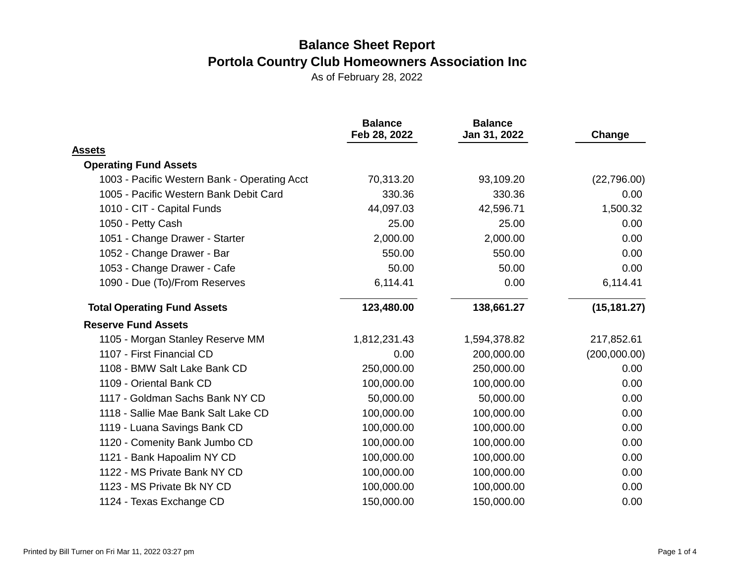|                                              | <b>Balance</b><br>Feb 28, 2022 | <b>Balance</b><br>Jan 31, 2022 | Change       |
|----------------------------------------------|--------------------------------|--------------------------------|--------------|
| <b>Assets</b>                                |                                |                                |              |
| <b>Operating Fund Assets</b>                 |                                |                                |              |
| 1003 - Pacific Western Bank - Operating Acct | 70,313.20                      | 93,109.20                      | (22, 796.00) |
| 1005 - Pacific Western Bank Debit Card       | 330.36                         | 330.36                         | 0.00         |
| 1010 - CIT - Capital Funds                   | 44,097.03                      | 42,596.71                      | 1,500.32     |
| 1050 - Petty Cash                            | 25.00                          | 25.00                          | 0.00         |
| 1051 - Change Drawer - Starter               | 2,000.00                       | 2,000.00                       | 0.00         |
| 1052 - Change Drawer - Bar                   | 550.00                         | 550.00                         | 0.00         |
| 1053 - Change Drawer - Cafe                  | 50.00                          | 50.00                          | 0.00         |
| 1090 - Due (To)/From Reserves                | 6,114.41                       | 0.00                           | 6,114.41     |
| <b>Total Operating Fund Assets</b>           | 123,480.00                     | 138,661.27                     | (15, 181.27) |
| <b>Reserve Fund Assets</b>                   |                                |                                |              |
| 1105 - Morgan Stanley Reserve MM             | 1,812,231.43                   | 1,594,378.82                   | 217,852.61   |
| 1107 - First Financial CD                    | 0.00                           | 200,000.00                     | (200,000.00) |
| 1108 - BMW Salt Lake Bank CD                 | 250,000.00                     | 250,000.00                     | 0.00         |
| 1109 - Oriental Bank CD                      | 100,000.00                     | 100,000.00                     | 0.00         |
| 1117 - Goldman Sachs Bank NY CD              | 50,000.00                      | 50,000.00                      | 0.00         |
| 1118 - Sallie Mae Bank Salt Lake CD          | 100,000.00                     | 100,000.00                     | 0.00         |
| 1119 - Luana Savings Bank CD                 | 100,000.00                     | 100,000.00                     | 0.00         |
| 1120 - Comenity Bank Jumbo CD                | 100,000.00                     | 100,000.00                     | 0.00         |
| 1121 - Bank Hapoalim NY CD                   | 100,000.00                     | 100,000.00                     | 0.00         |
| 1122 - MS Private Bank NY CD                 | 100,000.00                     | 100,000.00                     | 0.00         |
| 1123 - MS Private Bk NY CD                   | 100,000.00                     | 100,000.00                     | 0.00         |
| 1124 - Texas Exchange CD                     | 150,000.00                     | 150,000.00                     | 0.00         |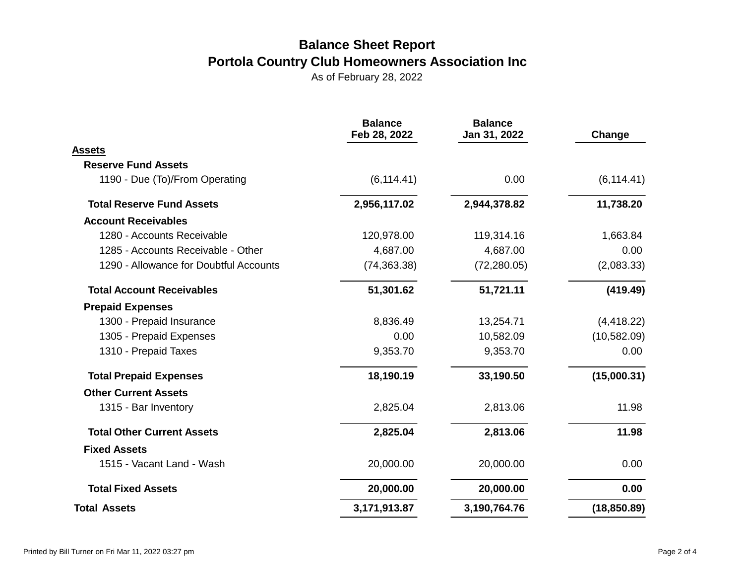|                                        | <b>Balance</b><br>Feb 28, 2022 | <b>Balance</b><br>Jan 31, 2022 | Change       |
|----------------------------------------|--------------------------------|--------------------------------|--------------|
| Assets                                 |                                |                                |              |
| <b>Reserve Fund Assets</b>             |                                |                                |              |
| 1190 - Due (To)/From Operating         | (6, 114.41)                    | 0.00                           | (6, 114.41)  |
| <b>Total Reserve Fund Assets</b>       | 2,956,117.02                   | 2,944,378.82                   | 11,738.20    |
| <b>Account Receivables</b>             |                                |                                |              |
| 1280 - Accounts Receivable             | 120,978.00                     | 119,314.16                     | 1,663.84     |
| 1285 - Accounts Receivable - Other     | 4,687.00                       | 4,687.00                       | 0.00         |
| 1290 - Allowance for Doubtful Accounts | (74, 363.38)                   | (72, 280.05)                   | (2,083.33)   |
| <b>Total Account Receivables</b>       | 51,301.62                      | 51,721.11                      | (419.49)     |
| <b>Prepaid Expenses</b>                |                                |                                |              |
| 1300 - Prepaid Insurance               | 8,836.49                       | 13,254.71                      | (4, 418.22)  |
| 1305 - Prepaid Expenses                | 0.00                           | 10,582.09                      | (10, 582.09) |
| 1310 - Prepaid Taxes                   | 9,353.70                       | 9,353.70                       | 0.00         |
| <b>Total Prepaid Expenses</b>          | 18,190.19                      | 33,190.50                      | (15,000.31)  |
| <b>Other Current Assets</b>            |                                |                                |              |
| 1315 - Bar Inventory                   | 2,825.04                       | 2,813.06                       | 11.98        |
| <b>Total Other Current Assets</b>      | 2,825.04                       | 2,813.06                       | 11.98        |
| <b>Fixed Assets</b>                    |                                |                                |              |
| 1515 - Vacant Land - Wash              | 20,000.00                      | 20,000.00                      | 0.00         |
| <b>Total Fixed Assets</b>              | 20,000.00                      | 20,000.00                      | 0.00         |
| <b>Total Assets</b>                    | 3,171,913.87                   | 3,190,764.76                   | (18, 850.89) |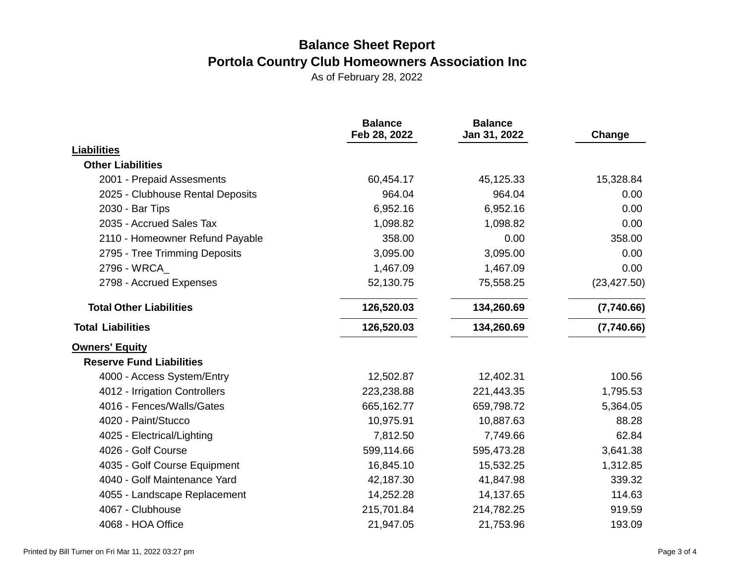|                                  | <b>Balance</b><br>Feb 28, 2022 | <b>Balance</b><br>Jan 31, 2022 | Change       |
|----------------------------------|--------------------------------|--------------------------------|--------------|
| <b>Liabilities</b>               |                                |                                |              |
| <b>Other Liabilities</b>         |                                |                                |              |
| 2001 - Prepaid Assesments        | 60,454.17                      | 45,125.33                      | 15,328.84    |
| 2025 - Clubhouse Rental Deposits | 964.04                         | 964.04                         | 0.00         |
| 2030 - Bar Tips                  | 6,952.16                       | 6,952.16                       | 0.00         |
| 2035 - Accrued Sales Tax         | 1,098.82                       | 1,098.82                       | 0.00         |
| 2110 - Homeowner Refund Payable  | 358.00                         | 0.00                           | 358.00       |
| 2795 - Tree Trimming Deposits    | 3,095.00                       | 3,095.00                       | 0.00         |
| 2796 - WRCA                      | 1,467.09                       | 1,467.09                       | 0.00         |
| 2798 - Accrued Expenses          | 52,130.75                      | 75,558.25                      | (23, 427.50) |
| <b>Total Other Liabilities</b>   | 126,520.03                     | 134,260.69                     | (7,740.66)   |
| <b>Total Liabilities</b>         | 126,520.03                     | 134,260.69                     | (7,740.66)   |
| <b>Owners' Equity</b>            |                                |                                |              |
| <b>Reserve Fund Liabilities</b>  |                                |                                |              |
| 4000 - Access System/Entry       | 12,502.87                      | 12,402.31                      | 100.56       |
| 4012 - Irrigation Controllers    | 223,238.88                     | 221,443.35                     | 1,795.53     |
| 4016 - Fences/Walls/Gates        | 665,162.77                     | 659,798.72                     | 5,364.05     |
| 4020 - Paint/Stucco              | 10,975.91                      | 10,887.63                      | 88.28        |
| 4025 - Electrical/Lighting       | 7,812.50                       | 7,749.66                       | 62.84        |
| 4026 - Golf Course               | 599,114.66                     | 595,473.28                     | 3,641.38     |
| 4035 - Golf Course Equipment     | 16,845.10                      | 15,532.25                      | 1,312.85     |
| 4040 - Golf Maintenance Yard     | 42,187.30                      | 41,847.98                      | 339.32       |
| 4055 - Landscape Replacement     | 14,252.28                      | 14,137.65                      | 114.63       |
| 4067 - Clubhouse                 | 215,701.84                     | 214,782.25                     | 919.59       |
| 4068 - HOA Office                | 21,947.05                      | 21,753.96                      | 193.09       |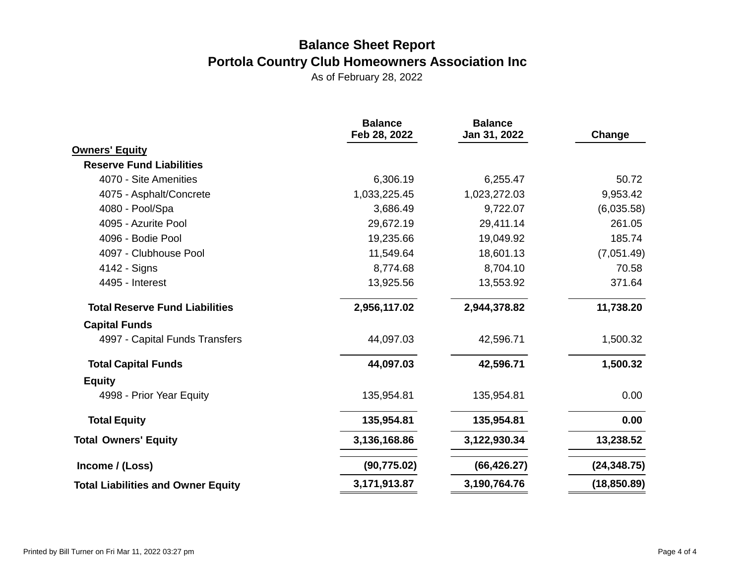|                                           | <b>Balance</b><br>Feb 28, 2022 | <b>Balance</b><br>Jan 31, 2022 | Change       |
|-------------------------------------------|--------------------------------|--------------------------------|--------------|
| <b>Owners' Equity</b>                     |                                |                                |              |
| <b>Reserve Fund Liabilities</b>           |                                |                                |              |
| 4070 - Site Amenities                     | 6,306.19                       | 6,255.47                       | 50.72        |
| 4075 - Asphalt/Concrete                   | 1,033,225.45                   | 1,023,272.03                   | 9,953.42     |
| 4080 - Pool/Spa                           | 3,686.49                       | 9,722.07                       | (6,035.58)   |
| 4095 - Azurite Pool                       | 29,672.19                      | 29,411.14                      | 261.05       |
| 4096 - Bodie Pool                         | 19,235.66                      | 19,049.92                      | 185.74       |
| 4097 - Clubhouse Pool                     | 11,549.64                      | 18,601.13                      | (7,051.49)   |
| 4142 - Signs                              | 8,774.68                       | 8,704.10                       | 70.58        |
| 4495 - Interest                           | 13,925.56                      | 13,553.92                      | 371.64       |
| <b>Total Reserve Fund Liabilities</b>     | 2,956,117.02                   | 2,944,378.82                   | 11,738.20    |
| <b>Capital Funds</b>                      |                                |                                |              |
| 4997 - Capital Funds Transfers            | 44,097.03                      | 42,596.71                      | 1,500.32     |
| <b>Total Capital Funds</b>                | 44,097.03                      | 42,596.71                      | 1,500.32     |
| <b>Equity</b>                             |                                |                                |              |
| 4998 - Prior Year Equity                  | 135,954.81                     | 135,954.81                     | 0.00         |
| <b>Total Equity</b>                       | 135,954.81                     | 135,954.81                     | 0.00         |
| <b>Total Owners' Equity</b>               | 3,136,168.86                   | 3,122,930.34                   | 13,238.52    |
| Income / (Loss)                           | (90, 775.02)                   | (66, 426.27)                   | (24, 348.75) |
| <b>Total Liabilities and Owner Equity</b> | 3,171,913.87                   | 3,190,764.76                   | (18, 850.89) |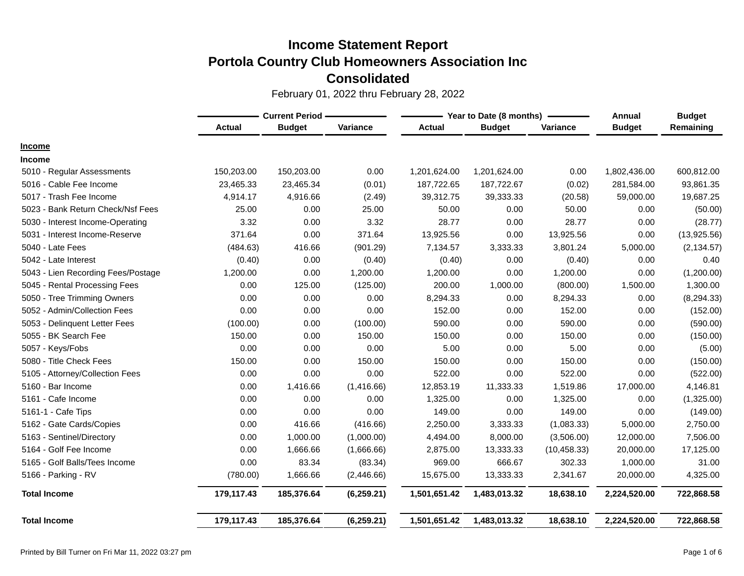|                                    |               | <b>Current Period -</b> |             | Year to Date (8 months) |               | Annual       | <b>Budget</b> |             |
|------------------------------------|---------------|-------------------------|-------------|-------------------------|---------------|--------------|---------------|-------------|
|                                    | <b>Actual</b> | <b>Budget</b>           | Variance    | <b>Actual</b>           | <b>Budget</b> | Variance     | <b>Budget</b> | Remaining   |
| <b>Income</b>                      |               |                         |             |                         |               |              |               |             |
| <b>Income</b>                      |               |                         |             |                         |               |              |               |             |
| 5010 - Regular Assessments         | 150,203.00    | 150,203.00              | 0.00        | 1,201,624.00            | 1,201,624.00  | 0.00         | 1,802,436.00  | 600,812.00  |
| 5016 - Cable Fee Income            | 23,465.33     | 23,465.34               | (0.01)      | 187,722.65              | 187,722.67    | (0.02)       | 281,584.00    | 93,861.35   |
| 5017 - Trash Fee Income            | 4,914.17      | 4,916.66                | (2.49)      | 39,312.75               | 39,333.33     | (20.58)      | 59,000.00     | 19,687.25   |
| 5023 - Bank Return Check/Nsf Fees  | 25.00         | 0.00                    | 25.00       | 50.00                   | 0.00          | 50.00        | 0.00          | (50.00)     |
| 5030 - Interest Income-Operating   | 3.32          | 0.00                    | 3.32        | 28.77                   | 0.00          | 28.77        | 0.00          | (28.77)     |
| 5031 - Interest Income-Reserve     | 371.64        | 0.00                    | 371.64      | 13,925.56               | 0.00          | 13,925.56    | 0.00          | (13,925.56) |
| 5040 - Late Fees                   | (484.63)      | 416.66                  | (901.29)    | 7,134.57                | 3,333.33      | 3,801.24     | 5,000.00      | (2, 134.57) |
| 5042 - Late Interest               | (0.40)        | 0.00                    | (0.40)      | (0.40)                  | 0.00          | (0.40)       | 0.00          | 0.40        |
| 5043 - Lien Recording Fees/Postage | 1,200.00      | 0.00                    | 1,200.00    | 1,200.00                | 0.00          | 1,200.00     | 0.00          | (1,200.00)  |
| 5045 - Rental Processing Fees      | 0.00          | 125.00                  | (125.00)    | 200.00                  | 1,000.00      | (800.00)     | 1,500.00      | 1,300.00    |
| 5050 - Tree Trimming Owners        | 0.00          | 0.00                    | 0.00        | 8,294.33                | 0.00          | 8,294.33     | 0.00          | (8, 294.33) |
| 5052 - Admin/Collection Fees       | 0.00          | 0.00                    | 0.00        | 152.00                  | 0.00          | 152.00       | 0.00          | (152.00)    |
| 5053 - Delinquent Letter Fees      | (100.00)      | 0.00                    | (100.00)    | 590.00                  | 0.00          | 590.00       | 0.00          | (590.00)    |
| 5055 - BK Search Fee               | 150.00        | 0.00                    | 150.00      | 150.00                  | 0.00          | 150.00       | 0.00          | (150.00)    |
| 5057 - Keys/Fobs                   | 0.00          | 0.00                    | 0.00        | 5.00                    | 0.00          | 5.00         | 0.00          | (5.00)      |
| 5080 - Title Check Fees            | 150.00        | 0.00                    | 150.00      | 150.00                  | 0.00          | 150.00       | 0.00          | (150.00)    |
| 5105 - Attorney/Collection Fees    | 0.00          | 0.00                    | 0.00        | 522.00                  | 0.00          | 522.00       | 0.00          | (522.00)    |
| 5160 - Bar Income                  | 0.00          | 1,416.66                | (1,416.66)  | 12,853.19               | 11,333.33     | 1,519.86     | 17,000.00     | 4,146.81    |
| 5161 - Cafe Income                 | 0.00          | 0.00                    | 0.00        | 1,325.00                | 0.00          | 1,325.00     | 0.00          | (1,325.00)  |
| 5161-1 - Cafe Tips                 | 0.00          | 0.00                    | 0.00        | 149.00                  | 0.00          | 149.00       | 0.00          | (149.00)    |
| 5162 - Gate Cards/Copies           | 0.00          | 416.66                  | (416.66)    | 2,250.00                | 3,333.33      | (1,083.33)   | 5,000.00      | 2,750.00    |
| 5163 - Sentinel/Directory          | 0.00          | 1,000.00                | (1,000.00)  | 4,494.00                | 8,000.00      | (3,506.00)   | 12,000.00     | 7,506.00    |
| 5164 - Golf Fee Income             | 0.00          | 1,666.66                | (1,666.66)  | 2,875.00                | 13,333.33     | (10, 458.33) | 20,000.00     | 17,125.00   |
| 5165 - Golf Balls/Tees Income      | 0.00          | 83.34                   | (83.34)     | 969.00                  | 666.67        | 302.33       | 1,000.00      | 31.00       |
| 5166 - Parking - RV                | (780.00)      | 1,666.66                | (2,446.66)  | 15,675.00               | 13,333.33     | 2,341.67     | 20,000.00     | 4,325.00    |
| <b>Total Income</b>                | 179,117.43    | 185,376.64              | (6, 259.21) | 1,501,651.42            | 1,483,013.32  | 18,638.10    | 2,224,520.00  | 722,868.58  |
| <b>Total Income</b>                | 179,117.43    | 185,376.64              | (6, 259.21) | 1,501,651.42            | 1,483,013.32  | 18,638.10    | 2,224,520.00  | 722,868.58  |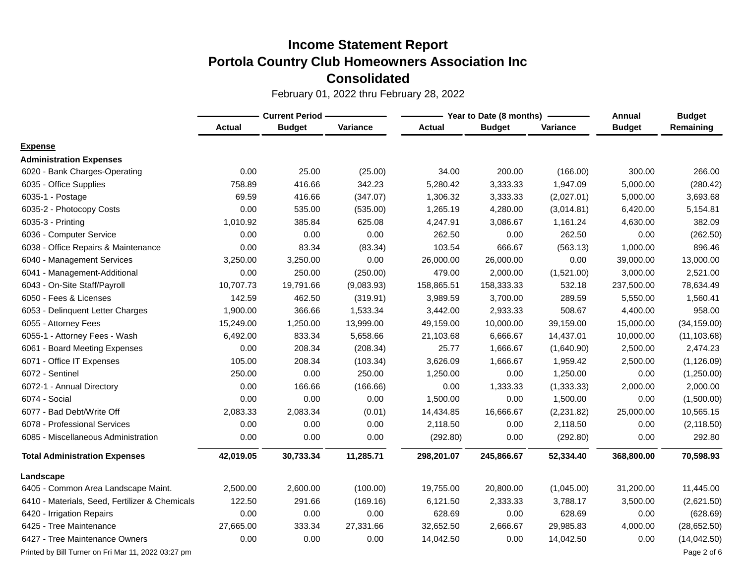|                                                     | <b>Current Period -</b> |               |            | Year to Date (8 months) | Annual        | <b>Budget</b> |               |              |
|-----------------------------------------------------|-------------------------|---------------|------------|-------------------------|---------------|---------------|---------------|--------------|
|                                                     | <b>Actual</b>           | <b>Budget</b> | Variance   | Actual                  | <b>Budget</b> | Variance      | <b>Budget</b> | Remaining    |
| <b>Expense</b>                                      |                         |               |            |                         |               |               |               |              |
| <b>Administration Expenses</b>                      |                         |               |            |                         |               |               |               |              |
| 6020 - Bank Charges-Operating                       | 0.00                    | 25.00         | (25.00)    | 34.00                   | 200.00        | (166.00)      | 300.00        | 266.00       |
| 6035 - Office Supplies                              | 758.89                  | 416.66        | 342.23     | 5,280.42                | 3,333.33      | 1,947.09      | 5,000.00      | (280.42)     |
| 6035-1 - Postage                                    | 69.59                   | 416.66        | (347.07)   | 1,306.32                | 3,333.33      | (2,027.01)    | 5,000.00      | 3,693.68     |
| 6035-2 - Photocopy Costs                            | 0.00                    | 535.00        | (535.00)   | 1,265.19                | 4,280.00      | (3,014.81)    | 6,420.00      | 5,154.81     |
| 6035-3 - Printing                                   | 1,010.92                | 385.84        | 625.08     | 4,247.91                | 3,086.67      | 1,161.24      | 4,630.00      | 382.09       |
| 6036 - Computer Service                             | 0.00                    | 0.00          | 0.00       | 262.50                  | 0.00          | 262.50        | 0.00          | (262.50)     |
| 6038 - Office Repairs & Maintenance                 | 0.00                    | 83.34         | (83.34)    | 103.54                  | 666.67        | (563.13)      | 1,000.00      | 896.46       |
| 6040 - Management Services                          | 3,250.00                | 3,250.00      | 0.00       | 26,000.00               | 26,000.00     | 0.00          | 39,000.00     | 13,000.00    |
| 6041 - Management-Additional                        | 0.00                    | 250.00        | (250.00)   | 479.00                  | 2,000.00      | (1,521.00)    | 3,000.00      | 2,521.00     |
| 6043 - On-Site Staff/Payroll                        | 10,707.73               | 19,791.66     | (9,083.93) | 158,865.51              | 158,333.33    | 532.18        | 237,500.00    | 78,634.49    |
| 6050 - Fees & Licenses                              | 142.59                  | 462.50        | (319.91)   | 3,989.59                | 3,700.00      | 289.59        | 5,550.00      | 1,560.41     |
| 6053 - Delinquent Letter Charges                    | 1,900.00                | 366.66        | 1,533.34   | 3,442.00                | 2,933.33      | 508.67        | 4,400.00      | 958.00       |
| 6055 - Attorney Fees                                | 15,249.00               | 1,250.00      | 13,999.00  | 49,159.00               | 10,000.00     | 39,159.00     | 15,000.00     | (34, 159.00) |
| 6055-1 - Attorney Fees - Wash                       | 6,492.00                | 833.34        | 5,658.66   | 21,103.68               | 6,666.67      | 14,437.01     | 10,000.00     | (11, 103.68) |
| 6061 - Board Meeting Expenses                       | 0.00                    | 208.34        | (208.34)   | 25.77                   | 1,666.67      | (1,640.90)    | 2,500.00      | 2,474.23     |
| 6071 - Office IT Expenses                           | 105.00                  | 208.34        | (103.34)   | 3,626.09                | 1,666.67      | 1,959.42      | 2,500.00      | (1, 126.09)  |
| 6072 - Sentinel                                     | 250.00                  | 0.00          | 250.00     | 1,250.00                | 0.00          | 1,250.00      | 0.00          | (1,250.00)   |
| 6072-1 - Annual Directory                           | 0.00                    | 166.66        | (166.66)   | 0.00                    | 1,333.33      | (1,333.33)    | 2,000.00      | 2,000.00     |
| 6074 - Social                                       | 0.00                    | 0.00          | 0.00       | 1,500.00                | 0.00          | 1,500.00      | 0.00          | (1,500.00)   |
| 6077 - Bad Debt/Write Off                           | 2,083.33                | 2,083.34      | (0.01)     | 14,434.85               | 16,666.67     | (2,231.82)    | 25,000.00     | 10,565.15    |
| 6078 - Professional Services                        | 0.00                    | 0.00          | 0.00       | 2,118.50                | 0.00          | 2,118.50      | 0.00          | (2, 118.50)  |
| 6085 - Miscellaneous Administration                 | 0.00                    | 0.00          | 0.00       | (292.80)                | 0.00          | (292.80)      | 0.00          | 292.80       |
| <b>Total Administration Expenses</b>                | 42,019.05               | 30,733.34     | 11,285.71  | 298,201.07              | 245,866.67    | 52,334.40     | 368,800.00    | 70,598.93    |
| Landscape                                           |                         |               |            |                         |               |               |               |              |
| 6405 - Common Area Landscape Maint.                 | 2,500.00                | 2,600.00      | (100.00)   | 19,755.00               | 20,800.00     | (1,045.00)    | 31,200.00     | 11,445.00    |
| 6410 - Materials, Seed, Fertilizer & Chemicals      | 122.50                  | 291.66        | (169.16)   | 6,121.50                | 2,333.33      | 3,788.17      | 3,500.00      | (2,621.50)   |
| 6420 - Irrigation Repairs                           | 0.00                    | 0.00          | 0.00       | 628.69                  | 0.00          | 628.69        | 0.00          | (628.69)     |
| 6425 - Tree Maintenance                             | 27,665.00               | 333.34        | 27,331.66  | 32,652.50               | 2,666.67      | 29,985.83     | 4,000.00      | (28, 652.50) |
| 6427 - Tree Maintenance Owners                      | 0.00                    | 0.00          | 0.00       | 14,042.50               | 0.00          | 14,042.50     | 0.00          | (14,042.50)  |
| Printed by Bill Turner on Fri Mar 11, 2022 03:27 pm |                         |               |            |                         |               |               |               | Page 2 of 6  |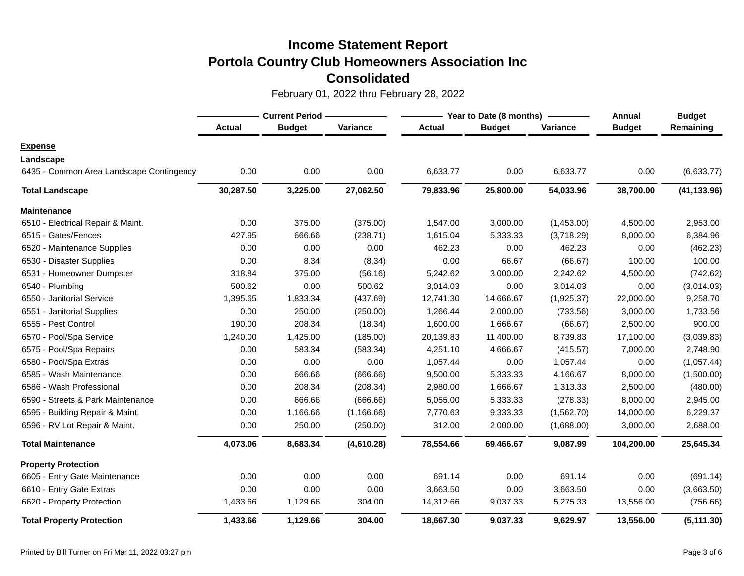|                                          | <b>Current Period</b> |               |             |               | Year to Date (8 months) | <b>Annual</b> | <b>Budget</b> |              |
|------------------------------------------|-----------------------|---------------|-------------|---------------|-------------------------|---------------|---------------|--------------|
|                                          | <b>Actual</b>         | <b>Budget</b> | Variance    | <b>Actual</b> | <b>Budget</b>           | Variance      | <b>Budget</b> | Remaining    |
| <b>Expense</b>                           |                       |               |             |               |                         |               |               |              |
| Landscape                                |                       |               |             |               |                         |               |               |              |
| 6435 - Common Area Landscape Contingency | 0.00                  | 0.00          | 0.00        | 6,633.77      | 0.00                    | 6,633.77      | 0.00          | (6,633.77)   |
| <b>Total Landscape</b>                   | 30,287.50             | 3,225.00      | 27,062.50   | 79,833.96     | 25,800.00               | 54,033.96     | 38,700.00     | (41, 133.96) |
| <b>Maintenance</b>                       |                       |               |             |               |                         |               |               |              |
| 6510 - Electrical Repair & Maint.        | 0.00                  | 375.00        | (375.00)    | 1,547.00      | 3,000.00                | (1,453.00)    | 4,500.00      | 2,953.00     |
| 6515 - Gates/Fences                      | 427.95                | 666.66        | (238.71)    | 1,615.04      | 5,333.33                | (3,718.29)    | 8,000.00      | 6,384.96     |
| 6520 - Maintenance Supplies              | 0.00                  | 0.00          | 0.00        | 462.23        | 0.00                    | 462.23        | 0.00          | (462.23)     |
| 6530 - Disaster Supplies                 | 0.00                  | 8.34          | (8.34)      | 0.00          | 66.67                   | (66.67)       | 100.00        | 100.00       |
| 6531 - Homeowner Dumpster                | 318.84                | 375.00        | (56.16)     | 5,242.62      | 3,000.00                | 2,242.62      | 4,500.00      | (742.62)     |
| 6540 - Plumbing                          | 500.62                | 0.00          | 500.62      | 3,014.03      | 0.00                    | 3,014.03      | 0.00          | (3,014.03)   |
| 6550 - Janitorial Service                | 1,395.65              | 1,833.34      | (437.69)    | 12,741.30     | 14,666.67               | (1,925.37)    | 22,000.00     | 9,258.70     |
| 6551 - Janitorial Supplies               | 0.00                  | 250.00        | (250.00)    | 1,266.44      | 2,000.00                | (733.56)      | 3,000.00      | 1,733.56     |
| 6555 - Pest Control                      | 190.00                | 208.34        | (18.34)     | 1,600.00      | 1,666.67                | (66.67)       | 2,500.00      | 900.00       |
| 6570 - Pool/Spa Service                  | 1,240.00              | 1,425.00      | (185.00)    | 20,139.83     | 11,400.00               | 8,739.83      | 17,100.00     | (3,039.83)   |
| 6575 - Pool/Spa Repairs                  | 0.00                  | 583.34        | (583.34)    | 4,251.10      | 4,666.67                | (415.57)      | 7,000.00      | 2,748.90     |
| 6580 - Pool/Spa Extras                   | 0.00                  | 0.00          | 0.00        | 1,057.44      | 0.00                    | 1,057.44      | 0.00          | (1,057.44)   |
| 6585 - Wash Maintenance                  | 0.00                  | 666.66        | (666.66)    | 9,500.00      | 5,333.33                | 4,166.67      | 8,000.00      | (1,500.00)   |
| 6586 - Wash Professional                 | 0.00                  | 208.34        | (208.34)    | 2,980.00      | 1,666.67                | 1,313.33      | 2,500.00      | (480.00)     |
| 6590 - Streets & Park Maintenance        | 0.00                  | 666.66        | (666.66)    | 5,055.00      | 5,333.33                | (278.33)      | 8,000.00      | 2,945.00     |
| 6595 - Building Repair & Maint.          | 0.00                  | 1,166.66      | (1, 166.66) | 7,770.63      | 9,333.33                | (1,562.70)    | 14,000.00     | 6,229.37     |
| 6596 - RV Lot Repair & Maint.            | 0.00                  | 250.00        | (250.00)    | 312.00        | 2,000.00                | (1,688.00)    | 3,000.00      | 2,688.00     |
| <b>Total Maintenance</b>                 | 4,073.06              | 8,683.34      | (4,610.28)  | 78,554.66     | 69,466.67               | 9,087.99      | 104,200.00    | 25,645.34    |
| <b>Property Protection</b>               |                       |               |             |               |                         |               |               |              |
| 6605 - Entry Gate Maintenance            | 0.00                  | 0.00          | 0.00        | 691.14        | 0.00                    | 691.14        | 0.00          | (691.14)     |
| 6610 - Entry Gate Extras                 | 0.00                  | 0.00          | 0.00        | 3,663.50      | 0.00                    | 3,663.50      | 0.00          | (3,663.50)   |
| 6620 - Property Protection               | 1,433.66              | 1,129.66      | 304.00      | 14,312.66     | 9,037.33                | 5,275.33      | 13,556.00     | (756.66)     |
| <b>Total Property Protection</b>         | 1,433.66              | 1,129.66      | 304.00      | 18,667.30     | 9,037.33                | 9,629.97      | 13,556.00     | (5, 111.30)  |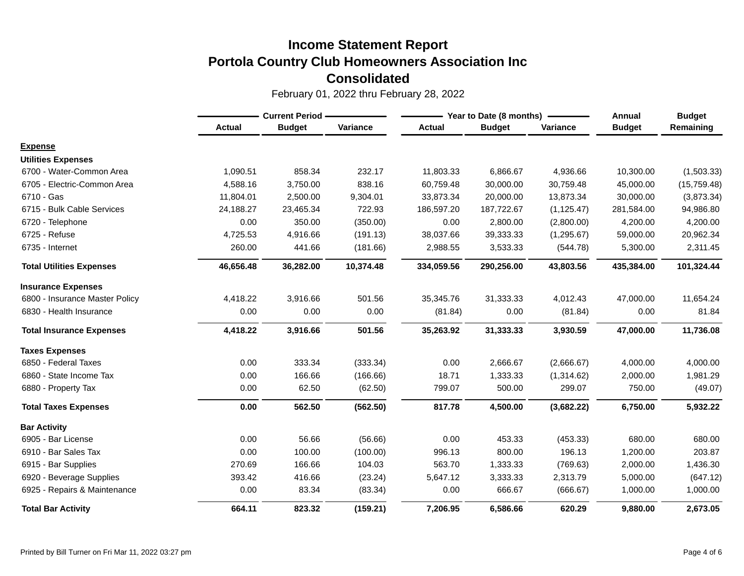|                                 | <b>Current Period -</b> |               |           | Year to Date (8 months) | <b>Annual</b> | <b>Budget</b> |               |              |
|---------------------------------|-------------------------|---------------|-----------|-------------------------|---------------|---------------|---------------|--------------|
|                                 | <b>Actual</b>           | <b>Budget</b> | Variance  | <b>Actual</b>           | <b>Budget</b> | Variance      | <b>Budget</b> | Remaining    |
| <b>Expense</b>                  |                         |               |           |                         |               |               |               |              |
| <b>Utilities Expenses</b>       |                         |               |           |                         |               |               |               |              |
| 6700 - Water-Common Area        | 1,090.51                | 858.34        | 232.17    | 11,803.33               | 6,866.67      | 4,936.66      | 10,300.00     | (1,503.33)   |
| 6705 - Electric-Common Area     | 4,588.16                | 3,750.00      | 838.16    | 60,759.48               | 30,000.00     | 30,759.48     | 45,000.00     | (15, 759.48) |
| 6710 - Gas                      | 11,804.01               | 2,500.00      | 9,304.01  | 33,873.34               | 20,000.00     | 13,873.34     | 30,000.00     | (3,873.34)   |
| 6715 - Bulk Cable Services      | 24,188.27               | 23,465.34     | 722.93    | 186,597.20              | 187,722.67    | (1, 125.47)   | 281,584.00    | 94,986.80    |
| 6720 - Telephone                | 0.00                    | 350.00        | (350.00)  | 0.00                    | 2,800.00      | (2,800.00)    | 4,200.00      | 4,200.00     |
| 6725 - Refuse                   | 4,725.53                | 4,916.66      | (191.13)  | 38,037.66               | 39,333.33     | (1,295.67)    | 59,000.00     | 20,962.34    |
| 6735 - Internet                 | 260.00                  | 441.66        | (181.66)  | 2,988.55                | 3,533.33      | (544.78)      | 5,300.00      | 2,311.45     |
| <b>Total Utilities Expenses</b> | 46,656.48               | 36,282.00     | 10,374.48 | 334,059.56              | 290,256.00    | 43,803.56     | 435,384.00    | 101,324.44   |
| <b>Insurance Expenses</b>       |                         |               |           |                         |               |               |               |              |
| 6800 - Insurance Master Policy  | 4,418.22                | 3,916.66      | 501.56    | 35,345.76               | 31,333.33     | 4,012.43      | 47,000.00     | 11,654.24    |
| 6830 - Health Insurance         | 0.00                    | 0.00          | 0.00      | (81.84)                 | 0.00          | (81.84)       | 0.00          | 81.84        |
| <b>Total Insurance Expenses</b> | 4,418.22                | 3,916.66      | 501.56    | 35,263.92               | 31,333.33     | 3,930.59      | 47,000.00     | 11,736.08    |
| <b>Taxes Expenses</b>           |                         |               |           |                         |               |               |               |              |
| 6850 - Federal Taxes            | 0.00                    | 333.34        | (333.34)  | 0.00                    | 2,666.67      | (2,666.67)    | 4,000.00      | 4,000.00     |
| 6860 - State Income Tax         | 0.00                    | 166.66        | (166.66)  | 18.71                   | 1,333.33      | (1,314.62)    | 2,000.00      | 1,981.29     |
| 6880 - Property Tax             | 0.00                    | 62.50         | (62.50)   | 799.07                  | 500.00        | 299.07        | 750.00        | (49.07)      |
| <b>Total Taxes Expenses</b>     | 0.00                    | 562.50        | (562.50)  | 817.78                  | 4,500.00      | (3,682.22)    | 6,750.00      | 5,932.22     |
| <b>Bar Activity</b>             |                         |               |           |                         |               |               |               |              |
| 6905 - Bar License              | 0.00                    | 56.66         | (56.66)   | 0.00                    | 453.33        | (453.33)      | 680.00        | 680.00       |
| 6910 - Bar Sales Tax            | 0.00                    | 100.00        | (100.00)  | 996.13                  | 800.00        | 196.13        | 1,200.00      | 203.87       |
| 6915 - Bar Supplies             | 270.69                  | 166.66        | 104.03    | 563.70                  | 1,333.33      | (769.63)      | 2,000.00      | 1,436.30     |
| 6920 - Beverage Supplies        | 393.42                  | 416.66        | (23.24)   | 5,647.12                | 3,333.33      | 2,313.79      | 5,000.00      | (647.12)     |
| 6925 - Repairs & Maintenance    | 0.00                    | 83.34         | (83.34)   | 0.00                    | 666.67        | (666.67)      | 1,000.00      | 1,000.00     |
| <b>Total Bar Activity</b>       | 664.11                  | 823.32        | (159.21)  | 7,206.95                | 6,586.66      | 620.29        | 9,880.00      | 2,673.05     |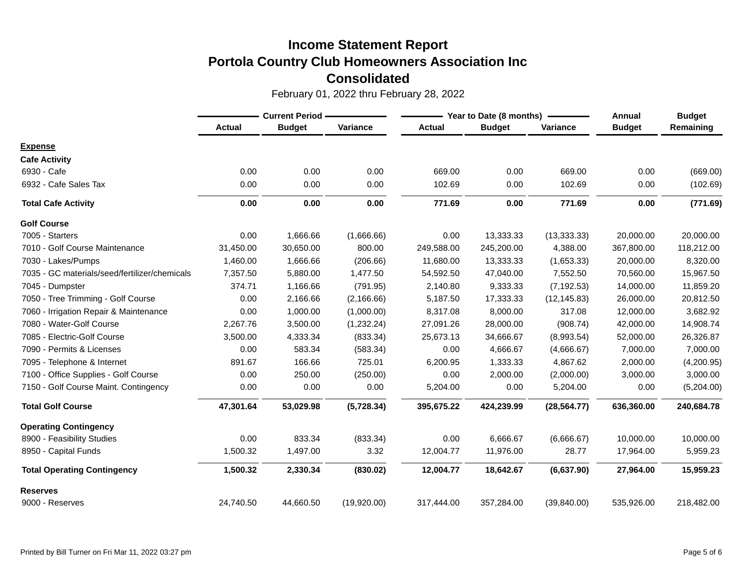|                                               |               | <b>Current Period</b> |             |               | Year to Date (8 months) | Annual       | <b>Budget</b> |            |
|-----------------------------------------------|---------------|-----------------------|-------------|---------------|-------------------------|--------------|---------------|------------|
|                                               | <b>Actual</b> | <b>Budget</b>         | Variance    | <b>Actual</b> | <b>Budget</b>           | Variance     | <b>Budget</b> | Remaining  |
| <b>Expense</b>                                |               |                       |             |               |                         |              |               |            |
| <b>Cafe Activity</b>                          |               |                       |             |               |                         |              |               |            |
| 6930 - Cafe                                   | 0.00          | 0.00                  | 0.00        | 669.00        | 0.00                    | 669.00       | 0.00          | (669.00)   |
| 6932 - Cafe Sales Tax                         | 0.00          | 0.00                  | 0.00        | 102.69        | 0.00                    | 102.69       | 0.00          | (102.69)   |
| <b>Total Cafe Activity</b>                    | 0.00          | 0.00                  | 0.00        | 771.69        | 0.00                    | 771.69       | 0.00          | (771.69)   |
| <b>Golf Course</b>                            |               |                       |             |               |                         |              |               |            |
| 7005 - Starters                               | 0.00          | 1,666.66              | (1,666.66)  | 0.00          | 13,333.33               | (13, 333.33) | 20,000.00     | 20,000.00  |
| 7010 - Golf Course Maintenance                | 31,450.00     | 30,650.00             | 800.00      | 249,588.00    | 245,200.00              | 4,388.00     | 367,800.00    | 118,212.00 |
| 7030 - Lakes/Pumps                            | 1,460.00      | 1,666.66              | (206.66)    | 11,680.00     | 13,333.33               | (1,653.33)   | 20,000.00     | 8,320.00   |
| 7035 - GC materials/seed/fertilizer/chemicals | 7,357.50      | 5,880.00              | 1,477.50    | 54,592.50     | 47,040.00               | 7,552.50     | 70,560.00     | 15,967.50  |
| 7045 - Dumpster                               | 374.71        | 1,166.66              | (791.95)    | 2,140.80      | 9,333.33                | (7, 192.53)  | 14,000.00     | 11,859.20  |
| 7050 - Tree Trimming - Golf Course            | 0.00          | 2,166.66              | (2, 166.66) | 5,187.50      | 17,333.33               | (12, 145.83) | 26,000.00     | 20,812.50  |
| 7060 - Irrigation Repair & Maintenance        | 0.00          | 1,000.00              | (1,000.00)  | 8,317.08      | 8,000.00                | 317.08       | 12,000.00     | 3,682.92   |
| 7080 - Water-Golf Course                      | 2,267.76      | 3,500.00              | (1,232.24)  | 27,091.26     | 28,000.00               | (908.74)     | 42,000.00     | 14,908.74  |
| 7085 - Electric-Golf Course                   | 3,500.00      | 4,333.34              | (833.34)    | 25,673.13     | 34,666.67               | (8,993.54)   | 52,000.00     | 26,326.87  |
| 7090 - Permits & Licenses                     | 0.00          | 583.34                | (583.34)    | 0.00          | 4,666.67                | (4,666.67)   | 7,000.00      | 7,000.00   |
| 7095 - Telephone & Internet                   | 891.67        | 166.66                | 725.01      | 6,200.95      | 1,333.33                | 4,867.62     | 2,000.00      | (4,200.95) |
| 7100 - Office Supplies - Golf Course          | 0.00          | 250.00                | (250.00)    | 0.00          | 2,000.00                | (2,000.00)   | 3,000.00      | 3,000.00   |
| 7150 - Golf Course Maint. Contingency         | 0.00          | 0.00                  | 0.00        | 5,204.00      | 0.00                    | 5,204.00     | 0.00          | (5,204.00) |
| <b>Total Golf Course</b>                      | 47,301.64     | 53,029.98             | (5,728.34)  | 395,675.22    | 424,239.99              | (28, 564.77) | 636,360.00    | 240,684.78 |
| <b>Operating Contingency</b>                  |               |                       |             |               |                         |              |               |            |
| 8900 - Feasibility Studies                    | 0.00          | 833.34                | (833.34)    | 0.00          | 6,666.67                | (6,666.67)   | 10,000.00     | 10,000.00  |
| 8950 - Capital Funds                          | 1,500.32      | 1,497.00              | 3.32        | 12,004.77     | 11,976.00               | 28.77        | 17,964.00     | 5,959.23   |
| <b>Total Operating Contingency</b>            | 1,500.32      | 2,330.34              | (830.02)    | 12,004.77     | 18,642.67               | (6,637.90)   | 27,964.00     | 15,959.23  |
| <b>Reserves</b>                               |               |                       |             |               |                         |              |               |            |
| 9000 - Reserves                               | 24,740.50     | 44,660.50             | (19,920.00) | 317,444.00    | 357,284.00              | (39, 840.00) | 535,926.00    | 218,482.00 |